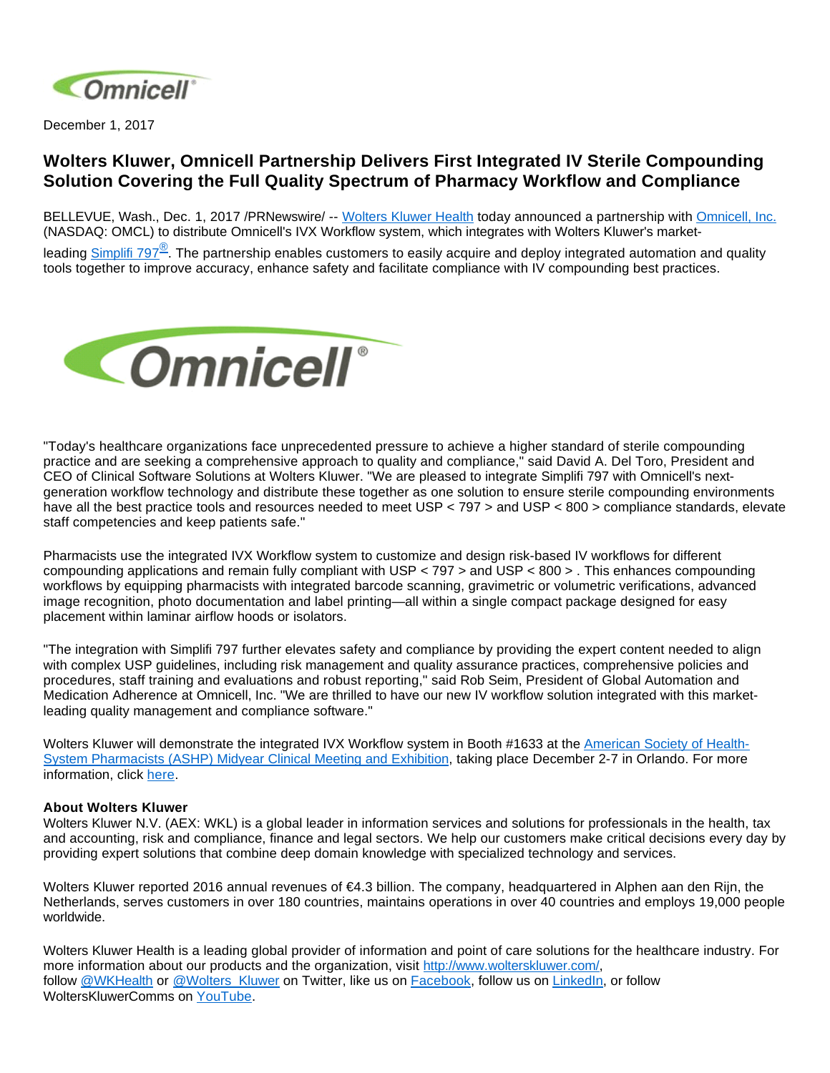

December 1, 2017

## **Wolters Kluwer, Omnicell Partnership Delivers First Integrated IV Sterile Compounding Solution Covering the Full Quality Spectrum of Pharmacy Workflow and Compliance**

BELLEVUE, Wash., Dec. 1, 2017 /PRNewswire/ -- [Wolters Kluwer Health](http://cts.businesswire.com/ct/CT?id=smartlink&url=http%3A%2F%2Fwolterskluwer.com%2Fproducts-services%2Four-portfolio%2Fhealth.html&esheet=51723847&newsitemid=20171201005484&lan=en-US&anchor=Wolters+Kluwer+Health&index=1&md5=4cbf797a6d53da07fb8d8022663e28cd) today announced a partnership with [Omnicell, Inc.](http://cts.businesswire.com/ct/CT?id=smartlink&url=http%3A%2F%2Fwww.omnicell.com&esheet=51723847&newsitemid=20171201005484&lan=en-US&anchor=Omnicell%2C+Inc.&index=2&md5=14fff0af7ab54c39245f95171460c6d9) (NASDAQ: OMCL) to distribute Omnicell's IVX Workflow system, which integrates with Wolters Kluwer's market-

leading <u>Simplifi 797®</u>. The partnership enables customers to easily acquire and deploy integrated automation and quality tools together to improve accuracy, enhance safety and facilitate compliance with IV compounding best practices.



"Today's healthcare organizations face unprecedented pressure to achieve a higher standard of sterile compounding practice and are seeking a comprehensive approach to quality and compliance," said David A. Del Toro, President and CEO of Clinical Software Solutions at Wolters Kluwer. "We are pleased to integrate Simplifi 797 with Omnicell's nextgeneration workflow technology and distribute these together as one solution to ensure sterile compounding environments have all the best practice tools and resources needed to meet USP < 797 > and USP < 800 > compliance standards, elevate staff competencies and keep patients safe."

Pharmacists use the integrated IVX Workflow system to customize and design risk-based IV workflows for different compounding applications and remain fully compliant with USP < 797 > and USP < 800 > . This enhances compounding workflows by equipping pharmacists with integrated barcode scanning, gravimetric or volumetric verifications, advanced image recognition, photo documentation and label printing—all within a single compact package designed for easy placement within laminar airflow hoods or isolators.

"The integration with Simplifi 797 further elevates safety and compliance by providing the expert content needed to align with complex USP guidelines, including risk management and quality assurance practices, comprehensive policies and procedures, staff training and evaluations and robust reporting," said Rob Seim, President of Global Automation and Medication Adherence at Omnicell, Inc. "We are thrilled to have our new IV workflow solution integrated with this marketleading quality management and compliance software."

Wolters Kluwer will demonstrate the integrated IVX Workflow system in Booth #1633 at the [American Society of Health-](http://cts.businesswire.com/ct/CT?id=smartlink&url=https%3A%2F%2Fwww.ashp.org%2Fmidyear17&esheet=51723847&newsitemid=20171201005484&lan=en-US&anchor=American+Society+of+Health-System+Pharmacists+%28ASHP%29+Midyear+Clinical+Meeting+and+Exhibition&index=4&md5=acf6f57b609dbb6c39a3b48532941d93)[System Pharmacists \(ASHP\) Midyear Clinical Meeting and Exhibition](http://cts.businesswire.com/ct/CT?id=smartlink&url=https%3A%2F%2Fwww.ashp.org%2Fmidyear17&esheet=51723847&newsitemid=20171201005484&lan=en-US&anchor=American+Society+of+Health-System+Pharmacists+%28ASHP%29+Midyear+Clinical+Meeting+and+Exhibition&index=4&md5=acf6f57b609dbb6c39a3b48532941d93), taking place December 2-7 in Orlando. For more information, click [here.](http://cts.businesswire.com/ct/CT?id=smartlink&url=http%3A%2F%2Fwww.pharmacyonesource.com%2Fproducts%2Fsimplifi-797%2Fivxworkflow%2F&esheet=51723847&newsitemid=20171201005484&lan=en-US&anchor=here&index=5&md5=d774bddc32ee818716a9a3a9585bc3e8)

## **About Wolters Kluwer**

Wolters Kluwer N.V. (AEX: WKL) is a global leader in information services and solutions for professionals in the health, tax and accounting, risk and compliance, finance and legal sectors. We help our customers make critical decisions every day by providing expert solutions that combine deep domain knowledge with specialized technology and services.

Wolters Kluwer reported 2016 annual revenues of €4.3 billion. The company, headquartered in Alphen aan den Rijn, the Netherlands, serves customers in over 180 countries, maintains operations in over 40 countries and employs 19,000 people worldwide.

Wolters Kluwer Health is a leading global provider of information and point of care solutions for the healthcare industry. For more information about our products and the organization, visit [http://www.wolterskluwer.com/](http://cts.businesswire.com/ct/CT?id=smartlink&url=http%3A%2F%2Fwww.wolterskluwer.com%2F&esheet=51723847&newsitemid=20171201005484&lan=en-US&anchor=http%3A%2F%2Fwww.wolterskluwer.com%2F&index=6&md5=d1062faed337a7a7ed211b832ba1c420), follow [@WKHealth](http://cts.businesswire.com/ct/CT?id=smartlink&url=https%3A%2F%2Ftwitter.com%2Fwkhealth&esheet=51723847&newsitemid=20171201005484&lan=en-US&anchor=%40WKHealth&index=7&md5=c8410ace326bd1f880b1c4e777b6a6f7) or [@Wolters\\_Kluwer](http://cts.businesswire.com/ct/CT?id=smartlink&url=https%3A%2F%2Ftwitter.com%2FWolters_Kluwer&esheet=51723847&newsitemid=20171201005484&lan=en-US&anchor=%40Wolters_Kluwer&index=8&md5=4ab3dc653b003be4a8398025957f1ebe) on Twitter, like us on [Facebook](http://cts.businesswire.com/ct/CT?id=smartlink&url=https%3A%2F%2Fwww.facebook.com%2Fwolterskluwer&esheet=51723847&newsitemid=20171201005484&lan=en-US&anchor=Facebook&index=9&md5=d8407e684fcf25e93efd0b80c7ab4173), follow us on [LinkedIn](http://cts.businesswire.com/ct/CT?id=smartlink&url=https%3A%2F%2Fwww.linkedin.com%2Fcompany%2F2483%3Ftrk%3Dtyah%26trkInfo%3DtarId%253A1415118411059%252Ctas%253Awolters%2520kluwer%252Cidx%253A2-1-6&esheet=51723847&newsitemid=20171201005484&lan=en-US&anchor=LinkedIn&index=10&md5=f0ad32fa201260ee62ec5f889e96a4c7), or follow WoltersKluwerComms on [YouTube.](http://cts.businesswire.com/ct/CT?id=smartlink&url=http%3A%2F%2Fwww.youtube.com%2Fuser%2FWoltersKluwerComms&esheet=51723847&newsitemid=20171201005484&lan=en-US&anchor=YouTube&index=11&md5=5729b634aeb479eeb6922809e11c13e4)